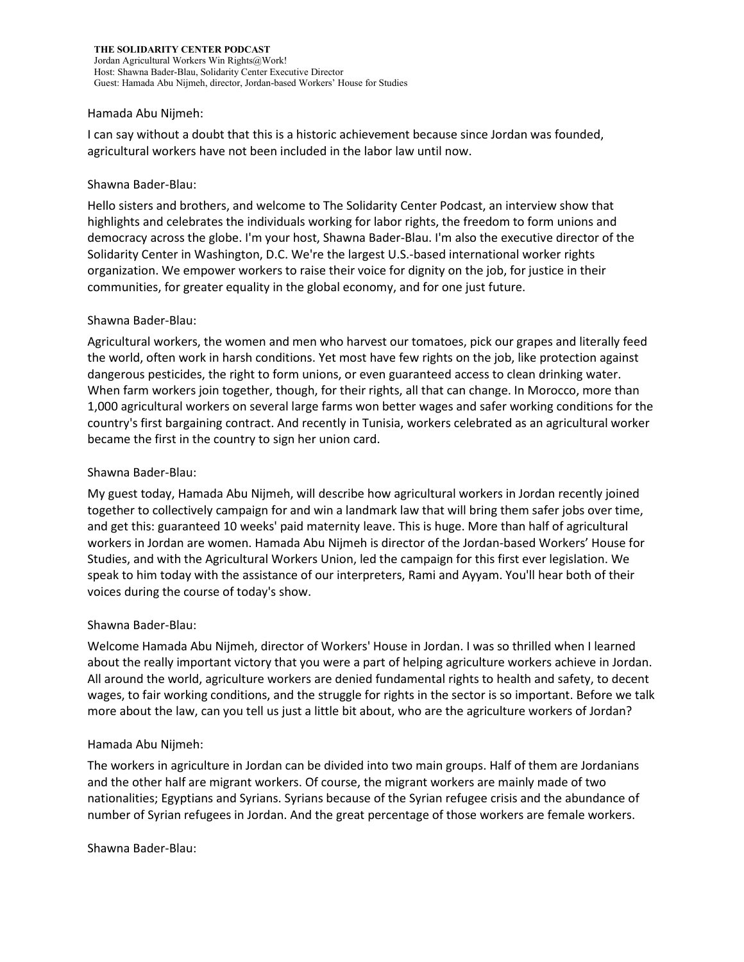#### Hamada Abu Nijmeh:

I can say without a doubt that this is a historic achievement because since Jordan was founded, agricultural workers have not been included in the labor law until now.

#### Shawna Bader-Blau:

Hello sisters and brothers, and welcome to The Solidarity Center Podcast, an interview show that highlights and celebrates the individuals working for labor rights, the freedom to form unions and democracy across the globe. I'm your host, Shawna Bader-Blau. I'm also the executive director of the Solidarity Center in Washington, D.C. We're the largest U.S.-based international worker rights organization. We empower workers to raise their voice for dignity on the job, for justice in their communities, for greater equality in the global economy, and for one just future.

#### Shawna Bader-Blau:

Agricultural workers, the women and men who harvest our tomatoes, pick our grapes and literally feed the world, often work in harsh conditions. Yet most have few rights on the job, like protection against dangerous pesticides, the right to form unions, or even guaranteed access to clean drinking water. When farm workers join together, though, for their rights, all that can change. In Morocco, more than 1,000 agricultural workers on several large farms won better wages and safer working conditions for the country's first bargaining contract. And recently in Tunisia, workers celebrated as an agricultural worker became the first in the country to sign her union card.

#### Shawna Bader-Blau:

My guest today, Hamada Abu Nijmeh, will describe how agricultural workers in Jordan recently joined together to collectively campaign for and win a landmark law that will bring them safer jobs over time, and get this: guaranteed 10 weeks' paid maternity leave. This is huge. More than half of agricultural workers in Jordan are women. Hamada Abu Nijmeh is director of the Jordan-based Workers' House for Studies, and with the Agricultural Workers Union, led the campaign for this first ever legislation. We speak to him today with the assistance of our interpreters, Rami and Ayyam. You'll hear both of their voices during the course of today's show.

## Shawna Bader-Blau:

Welcome Hamada Abu Nijmeh, director of Workers' House in Jordan. I was so thrilled when I learned about the really important victory that you were a part of helping agriculture workers achieve in Jordan. All around the world, agriculture workers are denied fundamental rights to health and safety, to decent wages, to fair working conditions, and the struggle for rights in the sector is so important. Before we talk more about the law, can you tell us just a little bit about, who are the agriculture workers of Jordan?

## Hamada Abu Nijmeh:

The workers in agriculture in Jordan can be divided into two main groups. Half of them are Jordanians and the other half are migrant workers. Of course, the migrant workers are mainly made of two nationalities; Egyptians and Syrians. Syrians because of the Syrian refugee crisis and the abundance of number of Syrian refugees in Jordan. And the great percentage of those workers are female workers.

Shawna Bader-Blau: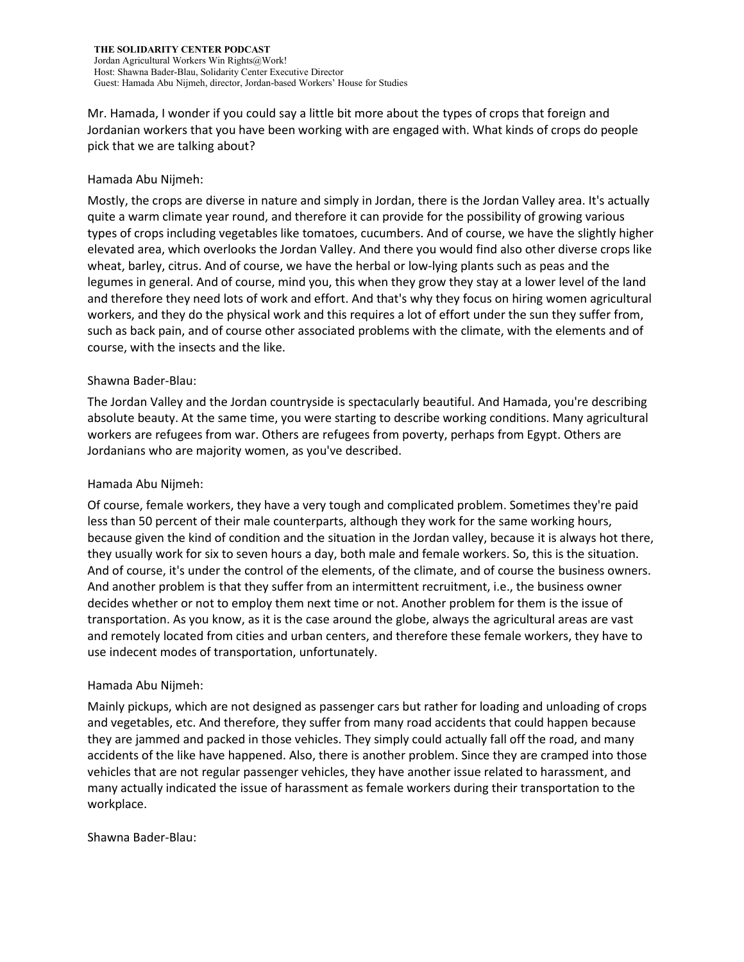Mr. Hamada, I wonder if you could say a little bit more about the types of crops that foreign and Jordanian workers that you have been working with are engaged with. What kinds of crops do people pick that we are talking about?

## Hamada Abu Nijmeh:

Mostly, the crops are diverse in nature and simply in Jordan, there is the Jordan Valley area. It's actually quite a warm climate year round, and therefore it can provide for the possibility of growing various types of crops including vegetables like tomatoes, cucumbers. And of course, we have the slightly higher elevated area, which overlooks the Jordan Valley. And there you would find also other diverse crops like wheat, barley, citrus. And of course, we have the herbal or low-lying plants such as peas and the legumes in general. And of course, mind you, this when they grow they stay at a lower level of the land and therefore they need lots of work and effort. And that's why they focus on hiring women agricultural workers, and they do the physical work and this requires a lot of effort under the sun they suffer from, such as back pain, and of course other associated problems with the climate, with the elements and of course, with the insects and the like.

## Shawna Bader-Blau:

The Jordan Valley and the Jordan countryside is spectacularly beautiful. And Hamada, you're describing absolute beauty. At the same time, you were starting to describe working conditions. Many agricultural workers are refugees from war. Others are refugees from poverty, perhaps from Egypt. Others are Jordanians who are majority women, as you've described.

#### Hamada Abu Nijmeh:

Of course, female workers, they have a very tough and complicated problem. Sometimes they're paid less than 50 percent of their male counterparts, although they work for the same working hours, because given the kind of condition and the situation in the Jordan valley, because it is always hot there, they usually work for six to seven hours a day, both male and female workers. So, this is the situation. And of course, it's under the control of the elements, of the climate, and of course the business owners. And another problem is that they suffer from an intermittent recruitment, i.e., the business owner decides whether or not to employ them next time or not. Another problem for them is the issue of transportation. As you know, as it is the case around the globe, always the agricultural areas are vast and remotely located from cities and urban centers, and therefore these female workers, they have to use indecent modes of transportation, unfortunately.

## Hamada Abu Nijmeh:

Mainly pickups, which are not designed as passenger cars but rather for loading and unloading of crops and vegetables, etc. And therefore, they suffer from many road accidents that could happen because they are jammed and packed in those vehicles. They simply could actually fall off the road, and many accidents of the like have happened. Also, there is another problem. Since they are cramped into those vehicles that are not regular passenger vehicles, they have another issue related to harassment, and many actually indicated the issue of harassment as female workers during their transportation to the workplace.

Shawna Bader-Blau: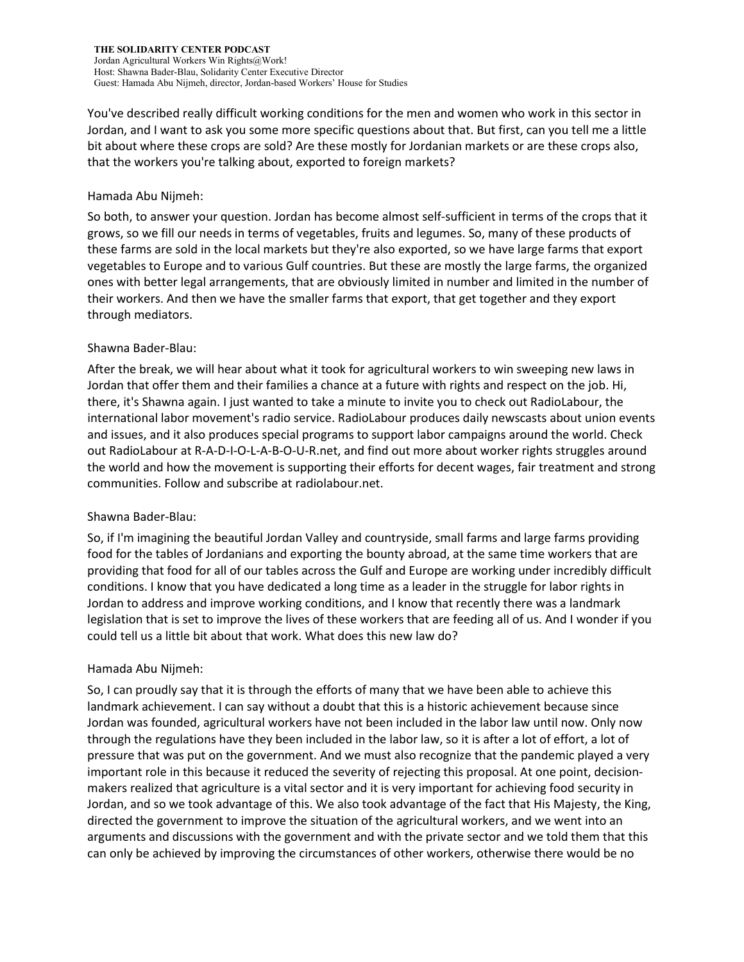You've described really difficult working conditions for the men and women who work in this sector in Jordan, and I want to ask you some more specific questions about that. But first, can you tell me a little bit about where these crops are sold? Are these mostly for Jordanian markets or are these crops also, that the workers you're talking about, exported to foreign markets?

#### Hamada Abu Nijmeh:

So both, to answer your question. Jordan has become almost self-sufficient in terms of the crops that it grows, so we fill our needs in terms of vegetables, fruits and legumes. So, many of these products of these farms are sold in the local markets but they're also exported, so we have large farms that export vegetables to Europe and to various Gulf countries. But these are mostly the large farms, the organized ones with better legal arrangements, that are obviously limited in number and limited in the number of their workers. And then we have the smaller farms that export, that get together and they export through mediators.

## Shawna Bader-Blau:

After the break, we will hear about what it took for agricultural workers to win sweeping new laws in Jordan that offer them and their families a chance at a future with rights and respect on the job. Hi, there, it's Shawna again. I just wanted to take a minute to invite you to check out RadioLabour, the international labor movement's radio service. RadioLabour produces daily newscasts about union events and issues, and it also produces special programs to support labor campaigns around the world. Check out RadioLabour at R-A-D-I-O-L-A-B-O-U-R.net, and find out more about worker rights struggles around the world and how the movement is supporting their efforts for decent wages, fair treatment and strong communities. Follow and subscribe at radiolabour.net.

## Shawna Bader-Blau:

So, if I'm imagining the beautiful Jordan Valley and countryside, small farms and large farms providing food for the tables of Jordanians and exporting the bounty abroad, at the same time workers that are providing that food for all of our tables across the Gulf and Europe are working under incredibly difficult conditions. I know that you have dedicated a long time as a leader in the struggle for labor rights in Jordan to address and improve working conditions, and I know that recently there was a landmark legislation that is set to improve the lives of these workers that are feeding all of us. And I wonder if you could tell us a little bit about that work. What does this new law do?

## Hamada Abu Nijmeh:

So, I can proudly say that it is through the efforts of many that we have been able to achieve this landmark achievement. I can say without a doubt that this is a historic achievement because since Jordan was founded, agricultural workers have not been included in the labor law until now. Only now through the regulations have they been included in the labor law, so it is after a lot of effort, a lot of pressure that was put on the government. And we must also recognize that the pandemic played a very important role in this because it reduced the severity of rejecting this proposal. At one point, decisionmakers realized that agriculture is a vital sector and it is very important for achieving food security in Jordan, and so we took advantage of this. We also took advantage of the fact that His Majesty, the King, directed the government to improve the situation of the agricultural workers, and we went into an arguments and discussions with the government and with the private sector and we told them that this can only be achieved by improving the circumstances of other workers, otherwise there would be no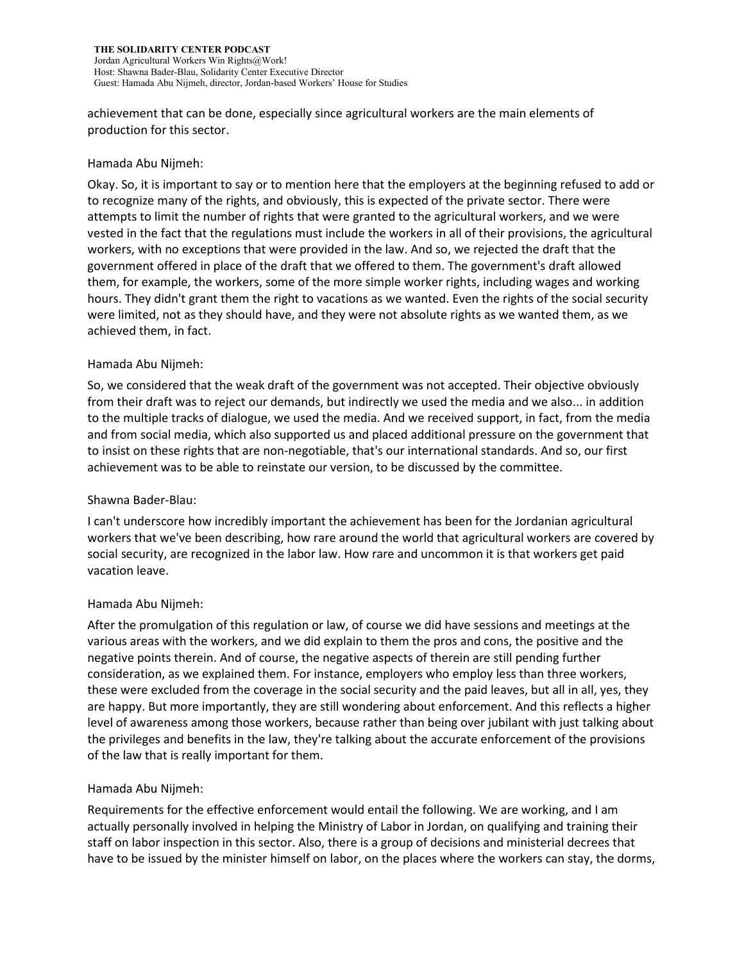achievement that can be done, especially since agricultural workers are the main elements of production for this sector.

# Hamada Abu Nijmeh:

Okay. So, it is important to say or to mention here that the employers at the beginning refused to add or to recognize many of the rights, and obviously, this is expected of the private sector. There were attempts to limit the number of rights that were granted to the agricultural workers, and we were vested in the fact that the regulations must include the workers in all of their provisions, the agricultural workers, with no exceptions that were provided in the law. And so, we rejected the draft that the government offered in place of the draft that we offered to them. The government's draft allowed them, for example, the workers, some of the more simple worker rights, including wages and working hours. They didn't grant them the right to vacations as we wanted. Even the rights of the social security were limited, not as they should have, and they were not absolute rights as we wanted them, as we achieved them, in fact.

# Hamada Abu Nijmeh:

So, we considered that the weak draft of the government was not accepted. Their objective obviously from their draft was to reject our demands, but indirectly we used the media and we also... in addition to the multiple tracks of dialogue, we used the media. And we received support, in fact, from the media and from social media, which also supported us and placed additional pressure on the government that to insist on these rights that are non-negotiable, that's our international standards. And so, our first achievement was to be able to reinstate our version, to be discussed by the committee.

## Shawna Bader-Blau:

I can't underscore how incredibly important the achievement has been for the Jordanian agricultural workers that we've been describing, how rare around the world that agricultural workers are covered by social security, are recognized in the labor law. How rare and uncommon it is that workers get paid vacation leave.

## Hamada Abu Nijmeh:

After the promulgation of this regulation or law, of course we did have sessions and meetings at the various areas with the workers, and we did explain to them the pros and cons, the positive and the negative points therein. And of course, the negative aspects of therein are still pending further consideration, as we explained them. For instance, employers who employ less than three workers, these were excluded from the coverage in the social security and the paid leaves, but all in all, yes, they are happy. But more importantly, they are still wondering about enforcement. And this reflects a higher level of awareness among those workers, because rather than being over jubilant with just talking about the privileges and benefits in the law, they're talking about the accurate enforcement of the provisions of the law that is really important for them.

## Hamada Abu Nijmeh:

Requirements for the effective enforcement would entail the following. We are working, and I am actually personally involved in helping the Ministry of Labor in Jordan, on qualifying and training their staff on labor inspection in this sector. Also, there is a group of decisions and ministerial decrees that have to be issued by the minister himself on labor, on the places where the workers can stay, the dorms,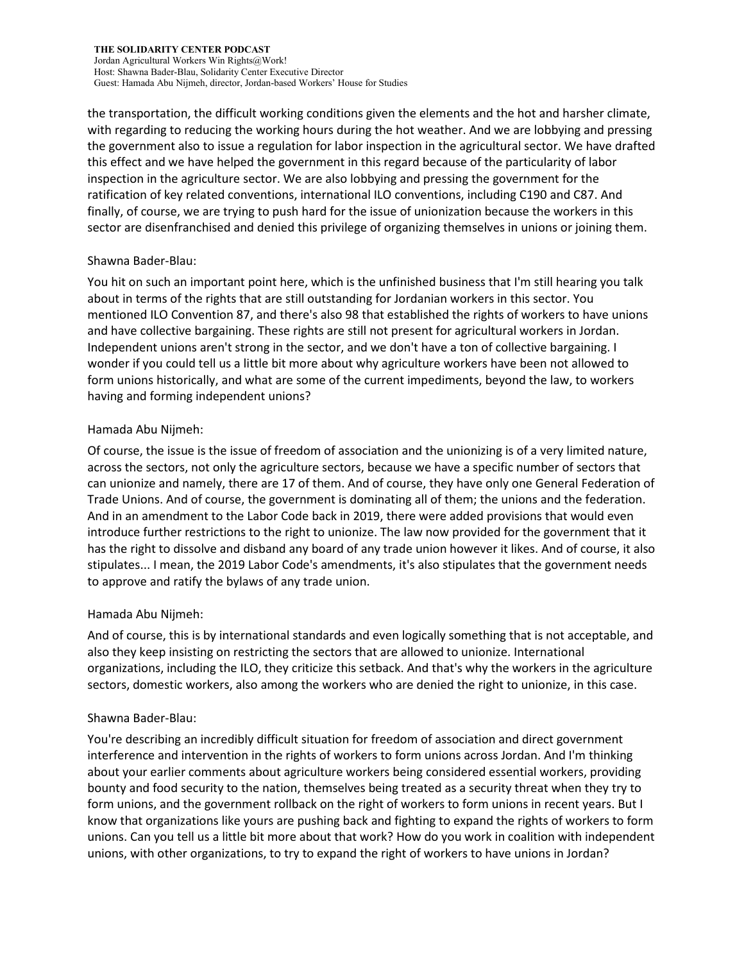the transportation, the difficult working conditions given the elements and the hot and harsher climate, with regarding to reducing the working hours during the hot weather. And we are lobbying and pressing the government also to issue a regulation for labor inspection in the agricultural sector. We have drafted this effect and we have helped the government in this regard because of the particularity of labor inspection in the agriculture sector. We are also lobbying and pressing the government for the ratification of key related conventions, international ILO conventions, including C190 and C87. And finally, of course, we are trying to push hard for the issue of unionization because the workers in this sector are disenfranchised and denied this privilege of organizing themselves in unions or joining them.

## Shawna Bader-Blau:

You hit on such an important point here, which is the unfinished business that I'm still hearing you talk about in terms of the rights that are still outstanding for Jordanian workers in this sector. You mentioned ILO Convention 87, and there's also 98 that established the rights of workers to have unions and have collective bargaining. These rights are still not present for agricultural workers in Jordan. Independent unions aren't strong in the sector, and we don't have a ton of collective bargaining. I wonder if you could tell us a little bit more about why agriculture workers have been not allowed to form unions historically, and what are some of the current impediments, beyond the law, to workers having and forming independent unions?

## Hamada Abu Nijmeh:

Of course, the issue is the issue of freedom of association and the unionizing is of a very limited nature, across the sectors, not only the agriculture sectors, because we have a specific number of sectors that can unionize and namely, there are 17 of them. And of course, they have only one General Federation of Trade Unions. And of course, the government is dominating all of them; the unions and the federation. And in an amendment to the Labor Code back in 2019, there were added provisions that would even introduce further restrictions to the right to unionize. The law now provided for the government that it has the right to dissolve and disband any board of any trade union however it likes. And of course, it also stipulates... I mean, the 2019 Labor Code's amendments, it's also stipulates that the government needs to approve and ratify the bylaws of any trade union.

# Hamada Abu Nijmeh:

And of course, this is by international standards and even logically something that is not acceptable, and also they keep insisting on restricting the sectors that are allowed to unionize. International organizations, including the ILO, they criticize this setback. And that's why the workers in the agriculture sectors, domestic workers, also among the workers who are denied the right to unionize, in this case.

## Shawna Bader-Blau:

You're describing an incredibly difficult situation for freedom of association and direct government interference and intervention in the rights of workers to form unions across Jordan. And I'm thinking about your earlier comments about agriculture workers being considered essential workers, providing bounty and food security to the nation, themselves being treated as a security threat when they try to form unions, and the government rollback on the right of workers to form unions in recent years. But I know that organizations like yours are pushing back and fighting to expand the rights of workers to form unions. Can you tell us a little bit more about that work? How do you work in coalition with independent unions, with other organizations, to try to expand the right of workers to have unions in Jordan?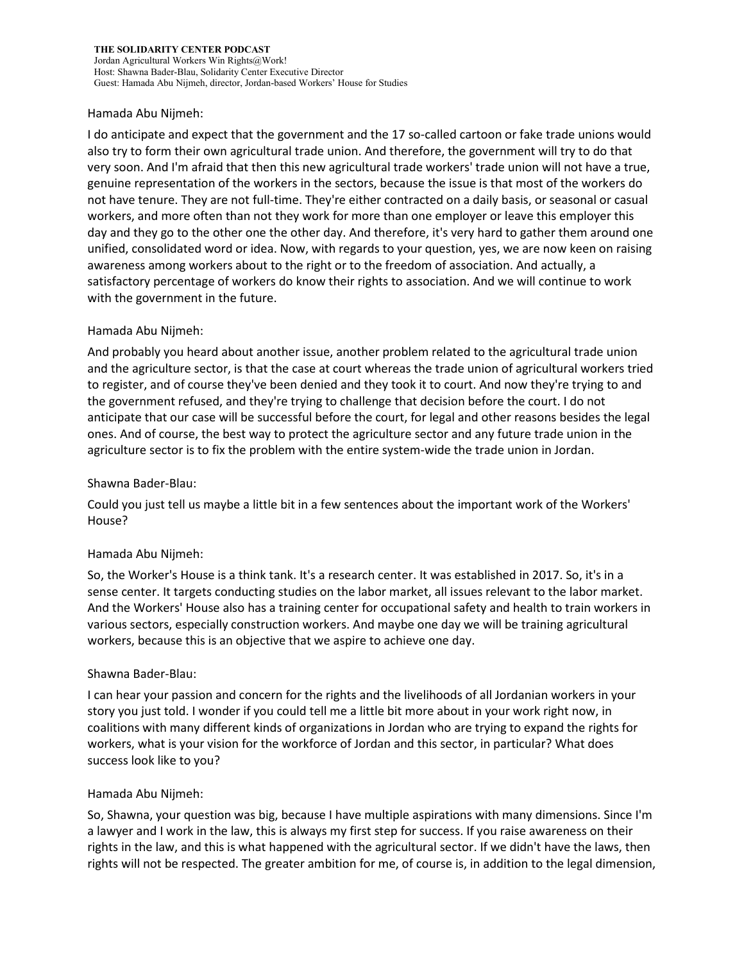#### Hamada Abu Nijmeh:

I do anticipate and expect that the government and the 17 so-called cartoon or fake trade unions would also try to form their own agricultural trade union. And therefore, the government will try to do that very soon. And I'm afraid that then this new agricultural trade workers' trade union will not have a true, genuine representation of the workers in the sectors, because the issue is that most of the workers do not have tenure. They are not full-time. They're either contracted on a daily basis, or seasonal or casual workers, and more often than not they work for more than one employer or leave this employer this day and they go to the other one the other day. And therefore, it's very hard to gather them around one unified, consolidated word or idea. Now, with regards to your question, yes, we are now keen on raising awareness among workers about to the right or to the freedom of association. And actually, a satisfactory percentage of workers do know their rights to association. And we will continue to work with the government in the future.

#### Hamada Abu Nijmeh:

And probably you heard about another issue, another problem related to the agricultural trade union and the agriculture sector, is that the case at court whereas the trade union of agricultural workers tried to register, and of course they've been denied and they took it to court. And now they're trying to and the government refused, and they're trying to challenge that decision before the court. I do not anticipate that our case will be successful before the court, for legal and other reasons besides the legal ones. And of course, the best way to protect the agriculture sector and any future trade union in the agriculture sector is to fix the problem with the entire system-wide the trade union in Jordan.

#### Shawna Bader-Blau:

Could you just tell us maybe a little bit in a few sentences about the important work of the Workers' House?

## Hamada Abu Nijmeh:

So, the Worker's House is a think tank. It's a research center. It was established in 2017. So, it's in a sense center. It targets conducting studies on the labor market, all issues relevant to the labor market. And the Workers' House also has a training center for occupational safety and health to train workers in various sectors, especially construction workers. And maybe one day we will be training agricultural workers, because this is an objective that we aspire to achieve one day.

## Shawna Bader-Blau:

I can hear your passion and concern for the rights and the livelihoods of all Jordanian workers in your story you just told. I wonder if you could tell me a little bit more about in your work right now, in coalitions with many different kinds of organizations in Jordan who are trying to expand the rights for workers, what is your vision for the workforce of Jordan and this sector, in particular? What does success look like to you?

#### Hamada Abu Nijmeh:

So, Shawna, your question was big, because I have multiple aspirations with many dimensions. Since I'm a lawyer and I work in the law, this is always my first step for success. If you raise awareness on their rights in the law, and this is what happened with the agricultural sector. If we didn't have the laws, then rights will not be respected. The greater ambition for me, of course is, in addition to the legal dimension,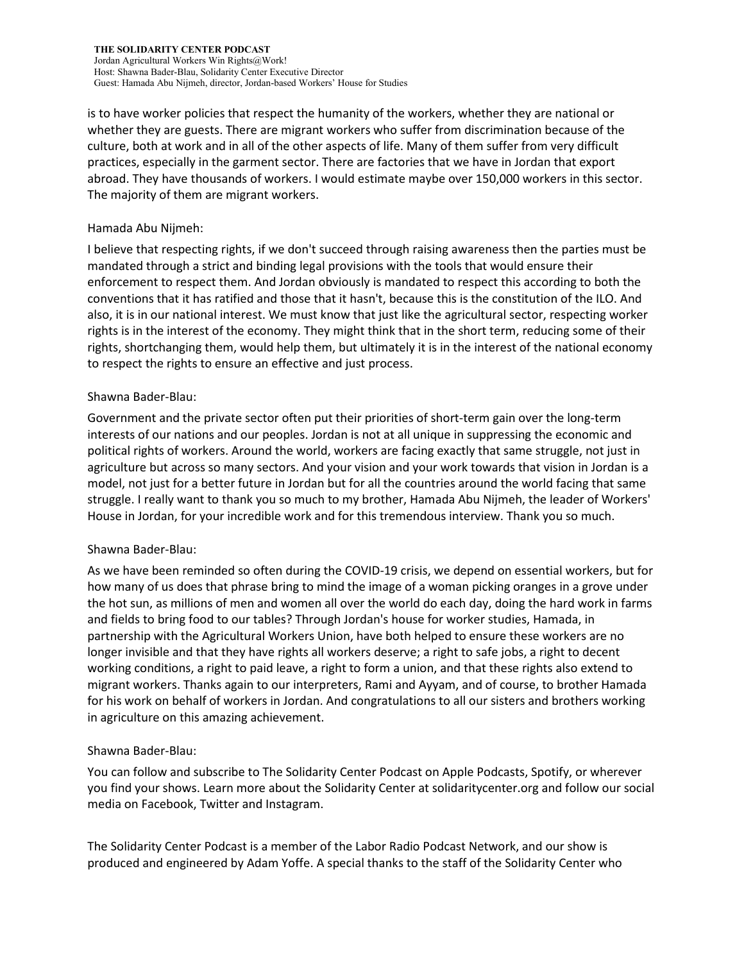is to have worker policies that respect the humanity of the workers, whether they are national or whether they are guests. There are migrant workers who suffer from discrimination because of the culture, both at work and in all of the other aspects of life. Many of them suffer from very difficult practices, especially in the garment sector. There are factories that we have in Jordan that export abroad. They have thousands of workers. I would estimate maybe over 150,000 workers in this sector. The majority of them are migrant workers.

#### Hamada Abu Nijmeh:

I believe that respecting rights, if we don't succeed through raising awareness then the parties must be mandated through a strict and binding legal provisions with the tools that would ensure their enforcement to respect them. And Jordan obviously is mandated to respect this according to both the conventions that it has ratified and those that it hasn't, because this is the constitution of the ILO. And also, it is in our national interest. We must know that just like the agricultural sector, respecting worker rights is in the interest of the economy. They might think that in the short term, reducing some of their rights, shortchanging them, would help them, but ultimately it is in the interest of the national economy to respect the rights to ensure an effective and just process.

#### Shawna Bader-Blau:

Government and the private sector often put their priorities of short-term gain over the long-term interests of our nations and our peoples. Jordan is not at all unique in suppressing the economic and political rights of workers. Around the world, workers are facing exactly that same struggle, not just in agriculture but across so many sectors. And your vision and your work towards that vision in Jordan is a model, not just for a better future in Jordan but for all the countries around the world facing that same struggle. I really want to thank you so much to my brother, Hamada Abu Nijmeh, the leader of Workers' House in Jordan, for your incredible work and for this tremendous interview. Thank you so much.

## Shawna Bader-Blau:

As we have been reminded so often during the COVID-19 crisis, we depend on essential workers, but for how many of us does that phrase bring to mind the image of a woman picking oranges in a grove under the hot sun, as millions of men and women all over the world do each day, doing the hard work in farms and fields to bring food to our tables? Through Jordan's house for worker studies, Hamada, in partnership with the Agricultural Workers Union, have both helped to ensure these workers are no longer invisible and that they have rights all workers deserve; a right to safe jobs, a right to decent working conditions, a right to paid leave, a right to form a union, and that these rights also extend to migrant workers. Thanks again to our interpreters, Rami and Ayyam, and of course, to brother Hamada for his work on behalf of workers in Jordan. And congratulations to all our sisters and brothers working in agriculture on this amazing achievement.

## Shawna Bader-Blau:

You can follow and subscribe to The Solidarity Center Podcast on Apple Podcasts, Spotify, or wherever you find your shows. Learn more about the Solidarity Center at solidaritycenter.org and follow our social media on Facebook, Twitter and Instagram.

The Solidarity Center Podcast is a member of the Labor Radio Podcast Network, and our show is produced and engineered by Adam Yoffe. A special thanks to the staff of the Solidarity Center who